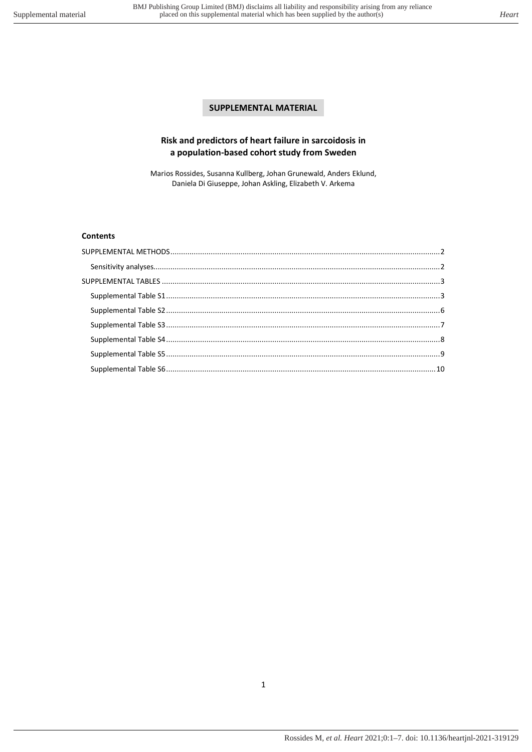# **SUPPLEMENTAL MATERIAL**

## **Risk and predictors of heart failure in sarcoidosis in a population-based cohort study from Sweden**

Marios Rossides, Susanna Kullberg, Johan Grunewald, Anders Eklund, Daniela Di Giuseppe, Johan Askling, Elizabeth V. Arkema

### **Contents**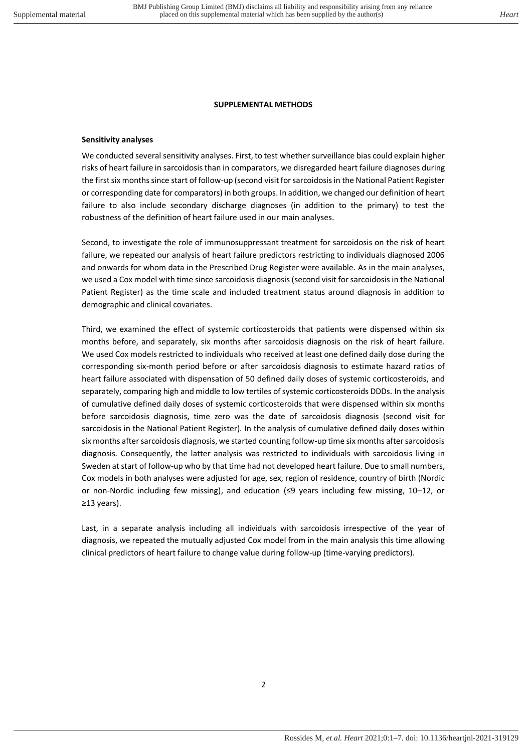### **SUPPLEMENTAL METHODS**

#### <span id="page-1-1"></span><span id="page-1-0"></span>**Sensitivity analyses**

We conducted several sensitivity analyses. First, to test whether surveillance bias could explain higher risks of heart failure in sarcoidosis than in comparators, we disregarded heart failure diagnoses during the first six months since start of follow-up (second visit for sarcoidosis in the National Patient Register or corresponding date for comparators) in both groups. In addition, we changed our definition of heart failure to also include secondary discharge diagnoses (in addition to the primary) to test the robustness of the definition of heart failure used in our main analyses.

Second, to investigate the role of immunosuppressant treatment for sarcoidosis on the risk of heart failure, we repeated our analysis of heart failure predictors restricting to individuals diagnosed 2006 and onwards for whom data in the Prescribed Drug Register were available. As in the main analyses, we used a Cox model with time since sarcoidosis diagnosis (second visit for sarcoidosis in the National Patient Register) as the time scale and included treatment status around diagnosis in addition to demographic and clinical covariates.

Third, we examined the effect of systemic corticosteroids that patients were dispensed within six months before, and separately, six months after sarcoidosis diagnosis on the risk of heart failure. We used Cox models restricted to individuals who received at least one defined daily dose during the corresponding six-month period before or after sarcoidosis diagnosis to estimate hazard ratios of heart failure associated with dispensation of 50 defined daily doses of systemic corticosteroids, and separately, comparing high and middle to low tertiles of systemic corticosteroids DDDs. In the analysis of cumulative defined daily doses of systemic corticosteroids that were dispensed within six months before sarcoidosis diagnosis, time zero was the date of sarcoidosis diagnosis (second visit for sarcoidosis in the National Patient Register). In the analysis of cumulative defined daily doses within six months after sarcoidosis diagnosis, we started counting follow-up time six months after sarcoidosis diagnosis. Consequently, the latter analysis was restricted to individuals with sarcoidosis living in Sweden at start of follow-up who by that time had not developed heart failure. Due to small numbers, Cox models in both analyses were adjusted for age, sex, region of residence, country of birth (Nordic or non-Nordic including few missing), and education (≤9 years including few missing, 10–12, or ≥13 years).

Last, in a separate analysis including all individuals with sarcoidosis irrespective of the year of diagnosis, we repeated the mutually adjusted Cox model from in the main analysis this time allowing clinical predictors of heart failure to change value during follow-up (time-varying predictors).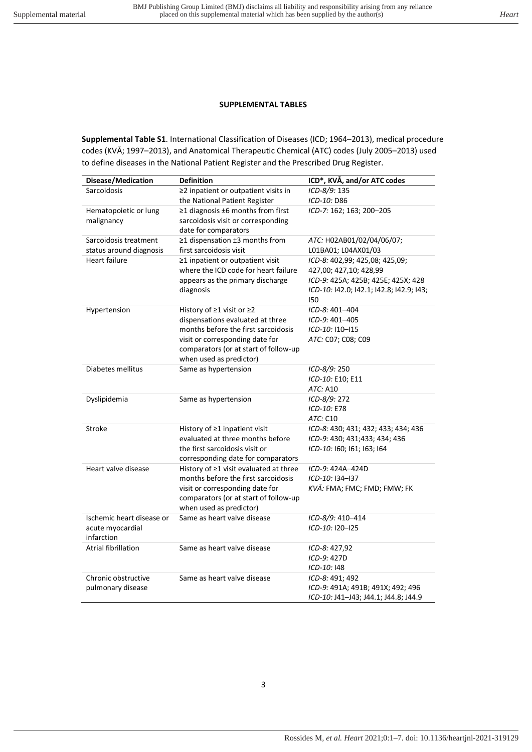#### **SUPPLEMENTAL TABLES**

<span id="page-2-1"></span><span id="page-2-0"></span>**Supplemental Table S1**. International Classification of Diseases (ICD; 1964–2013), medical procedure codes (KVÅ; 1997–2013), and Anatomical Therapeutic Chemical (ATC) codes (July 2005–2013) used to define diseases in the National Patient Register and the Prescribed Drug Register.

| Disease/Medication                               | <b>Definition</b>                                                    | ICD*, KVÅ, and/or ATC codes                      |
|--------------------------------------------------|----------------------------------------------------------------------|--------------------------------------------------|
| Sarcoidosis                                      | ≥2 inpatient or outpatient visits in                                 | ICD-8/9: 135                                     |
|                                                  | the National Patient Register                                        | ICD-10: D86                                      |
| Hematopoietic or lung                            | $\geq$ 1 diagnosis ±6 months from first                              | ICD-7: 162; 163; 200-205                         |
| malignancy                                       | sarcoidosis visit or corresponding                                   |                                                  |
|                                                  | date for comparators                                                 |                                                  |
| Sarcoidosis treatment<br>status around diagnosis | ≥1 dispensation ±3 months from<br>first sarcoidosis visit            | ATC: H02AB01/02/04/06/07;<br>L01BA01; L04AX01/03 |
| <b>Heart failure</b>                             | ≥1 inpatient or outpatient visit                                     | ICD-8: 402,99; 425,08; 425,09;                   |
|                                                  | where the ICD code for heart failure                                 | 427,00; 427,10; 428,99                           |
|                                                  | appears as the primary discharge                                     | ICD-9: 425A; 425B; 425E; 425X; 428               |
|                                                  | diagnosis                                                            | ICD-10: 142.0; 142.1; 142.8; 142.9; 143;         |
|                                                  |                                                                      | 150                                              |
| Hypertension                                     | History of ≥1 visit or ≥2                                            | ICD-8: 401-404                                   |
|                                                  | dispensations evaluated at three                                     | ICD-9: 401-405                                   |
|                                                  | months before the first sarcoidosis                                  | ICD-10: I10-I15                                  |
|                                                  | visit or corresponding date for                                      | ATC: C07; C08; C09                               |
|                                                  | comparators (or at start of follow-up<br>when used as predictor)     |                                                  |
| Diabetes mellitus                                | Same as hypertension                                                 | ICD-8/9: 250                                     |
|                                                  |                                                                      | ICD-10: E10; E11                                 |
|                                                  |                                                                      | ATC: A10                                         |
| Dyslipidemia                                     | Same as hypertension                                                 | ICD-8/9: 272                                     |
|                                                  |                                                                      | ICD-10: E78                                      |
|                                                  |                                                                      | ATC: C10                                         |
| Stroke                                           | History of ≥1 inpatient visit                                        | ICD-8: 430; 431; 432; 433; 434; 436              |
|                                                  | evaluated at three months before                                     | ICD-9: 430; 431;433; 434; 436                    |
|                                                  | the first sarcoidosis visit or<br>corresponding date for comparators | ICD-10: 160; 161; 163; 164                       |
| Heart valve disease                              | History of ≥1 visit evaluated at three                               | ICD-9: 424A-424D                                 |
|                                                  | months before the first sarcoidosis                                  | ICD-10: I34-I37                                  |
|                                                  | visit or corresponding date for                                      | KVÅ: FMA; FMC; FMD; FMW; FK                      |
|                                                  | comparators (or at start of follow-up                                |                                                  |
|                                                  | when used as predictor)                                              |                                                  |
| Ischemic heart disease or                        | Same as heart valve disease                                          | ICD-8/9: 410–414                                 |
| acute myocardial                                 |                                                                      | ICD-10: I20-I25                                  |
| infarction                                       |                                                                      |                                                  |
| <b>Atrial fibrillation</b>                       | Same as heart valve disease                                          | ICD-8: 427,92<br>ICD-9: 427D                     |
|                                                  |                                                                      | ICD-10: 148                                      |
| Chronic obstructive                              | Same as heart valve disease                                          | ICD-8: 491; 492                                  |
| pulmonary disease                                |                                                                      | ICD-9: 491A; 491B; 491X; 492; 496                |
|                                                  |                                                                      | ICD-10: J41-J43; J44.1; J44.8; J44.9             |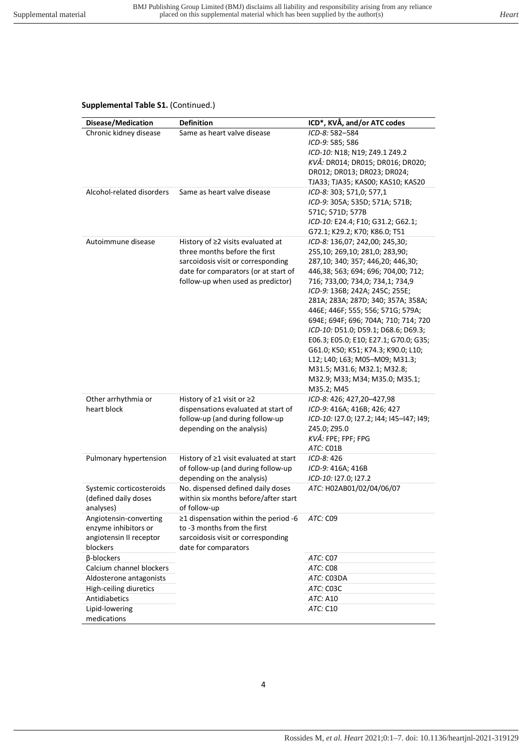### **Supplemental Table S1.** (Continued.)

| Disease/Medication                                                                    | <b>Definition</b>                                                                                                                                                                           | ICD*, KVÅ, and/or ATC codes                                                                                                                                                                                                                                                                                                                                                                                                                                                                                                                                                   |
|---------------------------------------------------------------------------------------|---------------------------------------------------------------------------------------------------------------------------------------------------------------------------------------------|-------------------------------------------------------------------------------------------------------------------------------------------------------------------------------------------------------------------------------------------------------------------------------------------------------------------------------------------------------------------------------------------------------------------------------------------------------------------------------------------------------------------------------------------------------------------------------|
| Chronic kidney disease                                                                | Same as heart valve disease                                                                                                                                                                 | ICD-8: 582-584<br>ICD-9: 585; 586<br>ICD-10: N18; N19; Z49.1 Z49.2<br>KVÅ: DR014; DR015; DR016; DR020;<br>DR012; DR013; DR023; DR024;<br>TJA33; TJA35; KAS00; KAS10; KAS20                                                                                                                                                                                                                                                                                                                                                                                                    |
| Alcohol-related disorders                                                             | Same as heart valve disease                                                                                                                                                                 | ICD-8: 303; 571,0; 577,1<br>ICD-9: 305A; 535D; 571A; 571B;<br>571C; 571D; 577B<br>ICD-10: E24.4; F10; G31.2; G62.1;<br>G72.1; K29.2; K70; K86.0; T51                                                                                                                                                                                                                                                                                                                                                                                                                          |
| Autoimmune disease                                                                    | History of $\geq$ 2 visits evaluated at<br>three months before the first<br>sarcoidosis visit or corresponding<br>date for comparators (or at start of<br>follow-up when used as predictor) | ICD-8: 136,07; 242,00; 245,30;<br>255,10; 269,10; 281,0; 283,90;<br>287,10; 340; 357; 446,20; 446,30;<br>446,38; 563; 694; 696; 704,00; 712;<br>716; 733,00; 734,0; 734,1; 734,9<br>ICD-9: 136B; 242A; 245C; 255E;<br>281A; 283A; 287D; 340; 357A; 358A;<br>446E; 446F; 555; 556; 571G; 579A;<br>694E; 694F; 696; 704A; 710; 714; 720<br>ICD-10: D51.0; D59.1; D68.6; D69.3;<br>E06.3; E05.0; E10; E27.1; G70.0; G35;<br>G61.0; K50; K51; K74.3; K90.0; L10;<br>L12; L40; L63; M05-M09; M31.3;<br>M31.5; M31.6; M32.1; M32.8;<br>M32.9; M33; M34; M35.0; M35.1;<br>M35.2; M45 |
| Other arrhythmia or<br>heart block                                                    | History of $\geq$ 1 visit or $\geq$ 2<br>dispensations evaluated at start of<br>follow-up (and during follow-up<br>depending on the analysis)                                               | ICD-8: 426; 427,20-427,98<br>ICD-9: 416A; 416B; 426; 427<br>ICD-10: 127.0; 127.2; 144; 145-147; 149;<br>Z45.0; Z95.0<br>KVÅ: FPE; FPF; FPG<br>ATC: CO1B                                                                                                                                                                                                                                                                                                                                                                                                                       |
| Pulmonary hypertension                                                                | History of $\geq$ 1 visit evaluated at start<br>of follow-up (and during follow-up<br>depending on the analysis)                                                                            | ICD-8: 426<br>ICD-9: 416A; 416B<br>ICD-10: 127.0; 127.2                                                                                                                                                                                                                                                                                                                                                                                                                                                                                                                       |
| Systemic corticosteroids<br>(defined daily doses<br>analyses)                         | No. dispensed defined daily doses<br>within six months before/after start<br>of follow-up                                                                                                   | ATC: H02AB01/02/04/06/07                                                                                                                                                                                                                                                                                                                                                                                                                                                                                                                                                      |
| Angiotensin-converting<br>enzyme inhibitors or<br>angiotensin II receptor<br>blockers | $\geq$ 1 dispensation within the period -6<br>to -3 months from the first<br>sarcoidosis visit or corresponding<br>date for comparators                                                     | ATC: C09                                                                                                                                                                                                                                                                                                                                                                                                                                                                                                                                                                      |
| β-blockers                                                                            |                                                                                                                                                                                             | ATC: C07                                                                                                                                                                                                                                                                                                                                                                                                                                                                                                                                                                      |
| Calcium channel blockers                                                              |                                                                                                                                                                                             | ATC: C08                                                                                                                                                                                                                                                                                                                                                                                                                                                                                                                                                                      |
| Aldosterone antagonists                                                               |                                                                                                                                                                                             | ATC: C03DA                                                                                                                                                                                                                                                                                                                                                                                                                                                                                                                                                                    |
| High-ceiling diuretics                                                                |                                                                                                                                                                                             | ATC: C03C                                                                                                                                                                                                                                                                                                                                                                                                                                                                                                                                                                     |
| Antidiabetics                                                                         |                                                                                                                                                                                             | ATC: A10                                                                                                                                                                                                                                                                                                                                                                                                                                                                                                                                                                      |
| Lipid-lowering<br>medications                                                         |                                                                                                                                                                                             | ATC: C10                                                                                                                                                                                                                                                                                                                                                                                                                                                                                                                                                                      |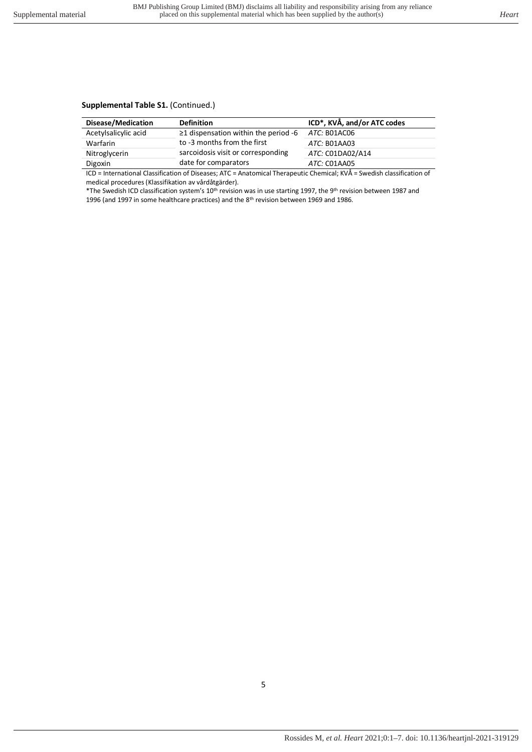### **Supplemental Table S1.** (Continued.)

| $\geq$ 1 dispensation within the period -6<br>ATC: B01AC06 |
|------------------------------------------------------------|
| ATC: B01AA03                                               |
| sarcoidosis visit or corresponding<br>ATC: C01DA02/A14     |
| ATC: CO1AA05                                               |
| .                                                          |

ICD = International Classification of Diseases; ATC = Anatomical Therapeutic Chemical; KVÅ = Swedish classification of medical procedures (Klassifikation av vårdåtgärder).

\*The Swedish ICD classification system's 10th revision was in use starting 1997, the 9th revision between 1987 and 1996 (and 1997 in some healthcare practices) and the 8<sup>th</sup> revision between 1969 and 1986.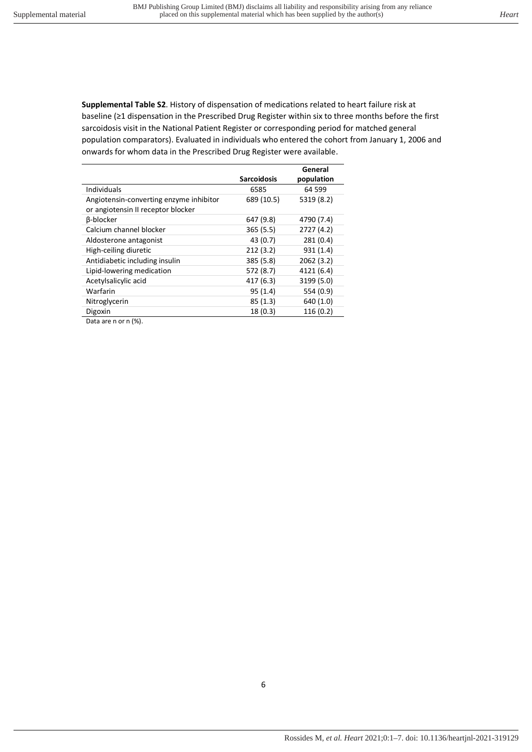<span id="page-5-0"></span>**Supplemental Table S2**. History of dispensation of medications related to heart failure risk at baseline (≥1 dispensation in the Prescribed Drug Register within six to three months before the first sarcoidosis visit in the National Patient Register or corresponding period for matched general population comparators). Evaluated in individuals who entered the cohort from January 1, 2006 and onwards for whom data in the Prescribed Drug Register were available.

|                                         |                    | General    |
|-----------------------------------------|--------------------|------------|
|                                         | <b>Sarcoidosis</b> | population |
| <b>Individuals</b>                      | 6585               | 64 599     |
| Angiotensin-converting enzyme inhibitor | 689 (10.5)         | 5319 (8.2) |
| or angiotensin II receptor blocker      |                    |            |
| <b>B-blocker</b>                        | 647 (9.8)          | 4790 (7.4) |
| Calcium channel blocker                 | 365 (5.5)          | 2727 (4.2) |
| Aldosterone antagonist                  | 43 (0.7)           | 281(0.4)   |
| High-ceiling diuretic                   | 212(3.2)           | 931(1.4)   |
| Antidiabetic including insulin          | 385 (5.8)          | 2062 (3.2) |
| Lipid-lowering medication               | 572 (8.7)          | 4121 (6.4) |
| Acetylsalicylic acid                    | 417 (6.3)          | 3199 (5.0) |
| Warfarin                                | 95(1.4)            | 554 (0.9)  |
| Nitroglycerin                           | 85(1.3)            | 640 (1.0)  |
| Digoxin                                 | 18(0.3)            | 116(0.2)   |
|                                         |                    |            |

Data are n or n (%).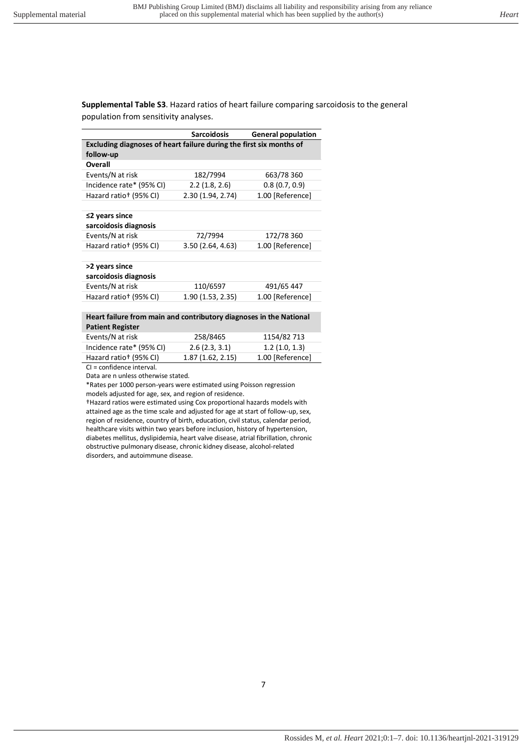<span id="page-6-0"></span>**Supplemental Table S3**. Hazard ratios of heart failure comparing sarcoidosis to the general population from sensitivity analyses.

|                                                                     | <b>Sarcoidosis</b> | <b>General population</b> |
|---------------------------------------------------------------------|--------------------|---------------------------|
| Excluding diagnoses of heart failure during the first six months of |                    |                           |
| follow-up                                                           |                    |                           |
| Overall                                                             |                    |                           |
| Events/N at risk                                                    | 182/7994           | 663/78 360                |
| Incidence rate* (95% CI)                                            | 2.2(1.8, 2.6)      | 0.8(0.7, 0.9)             |
| Hazard ratio <sup>+</sup> (95% CI)                                  | 2.30 (1.94, 2.74)  | 1.00 [Reference]          |
| $\leq$ 2 years since<br>sarcoidosis diagnosis                       |                    |                           |
| Events/N at risk                                                    | 72/7994            | 172/78 360                |
| Hazard ratio <sup>+</sup> (95% CI)                                  | 3.50 (2.64, 4.63)  | 1.00 [Reference]          |
| >2 years since<br>sarcoidosis diagnosis                             |                    |                           |
| Events/N at risk                                                    | 110/6597           | 491/65 447                |
| Hazard ratio <sup>+</sup> (95% CI)                                  | 1.90(1.53, 2.35)   | 1.00 [Reference]          |
| Hoart failure from main and contributory diagnoses in the National  |                    |                           |

| Heart failure from main and contributory diagnoses in the National |          |                |  |
|--------------------------------------------------------------------|----------|----------------|--|
| <b>Patient Register</b>                                            |          |                |  |
| the company of the second set of the line                          | 20000000 | $AB = AB = BA$ |  |

| Events/N at risk                   | 258/8465         | 1154/82 713      |
|------------------------------------|------------------|------------------|
| Incidence rate* (95% CI)           | 2.6(2.3, 3.1)    | 1.2(1.0, 1.3)    |
| Hazard ratio <sup>+</sup> (95% CI) | 1.87(1.62, 2.15) | 1.00 [Reference] |
| .                                  |                  |                  |

CI = confidence interval.

Data are n unless otherwise stated.

\*Rates per 1000 person-years were estimated using Poisson regression

models adjusted for age, sex, and region of residence.

†Hazard ratios were estimated using Cox proportional hazards models with attained age as the time scale and adjusted for age at start of follow-up, sex, region of residence, country of birth, education, civil status, calendar period, healthcare visits within two years before inclusion, history of hypertension, diabetes mellitus, dyslipidemia, heart valve disease, atrial fibrillation, chronic obstructive pulmonary disease, chronic kidney disease, alcohol-related disorders, and autoimmune disease.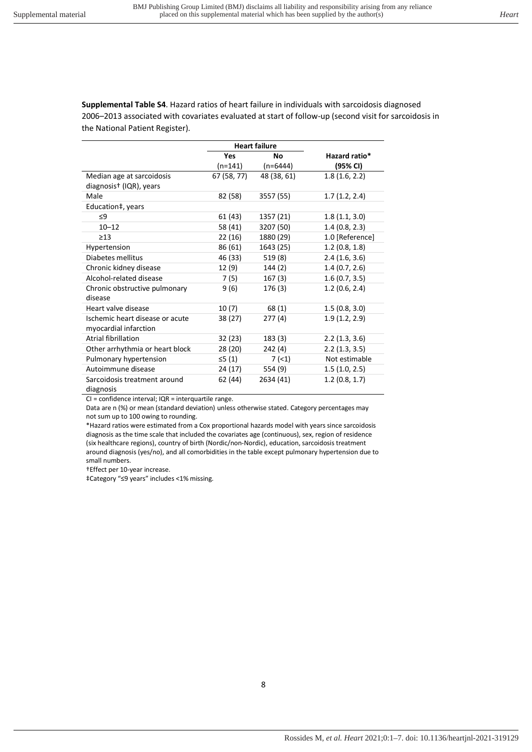<span id="page-7-0"></span>**Supplemental Table S4**. Hazard ratios of heart failure in individuals with sarcoidosis diagnosed 2006–2013 associated with covariates evaluated at start of follow-up (second visit for sarcoidosis in the National Patient Register).

|                                           | <b>Heart failure</b> |             |                 |
|-------------------------------------------|----------------------|-------------|-----------------|
|                                           | Yes                  | Nο          | Hazard ratio*   |
|                                           | $(n=141)$            | $(n=6444)$  | (95% CI)        |
| Median age at sarcoidosis                 | 67 (58, 77)          | 48 (38, 61) | 1.8(1.6, 2.2)   |
| diagnosis <sup>†</sup> (IQR), years       |                      |             |                 |
| Male                                      | 82 (58)              | 3557 (55)   | 1.7(1.2, 2.4)   |
| Education‡, years                         |                      |             |                 |
| $\leq$ 9                                  | 61 (43)              | 1357 (21)   | 1.8(1.1, 3.0)   |
| $10 - 12$                                 | 58 (41)              | 3207 (50)   | 1.4(0.8, 2.3)   |
| $\geq$ 13                                 | 22 (16)              | 1880 (29)   | 1.0 [Reference] |
| Hypertension                              | 86 (61)              | 1643 (25)   | 1.2(0.8, 1.8)   |
| Diabetes mellitus                         | 46 (33)              | 519(8)      | 2.4(1.6, 3.6)   |
| Chronic kidney disease                    | 12 (9)               | 144 (2)     | 1.4(0.7, 2.6)   |
| Alcohol-related disease                   | 7 (5)                | 167(3)      | 1.6(0.7, 3.5)   |
| Chronic obstructive pulmonary<br>disease  | 9(6)                 | 176 (3)     | 1.2(0.6, 2.4)   |
| Heart valve disease                       | 10(7)                | 68(1)       | 1.5(0.8, 3.0)   |
| Ischemic heart disease or acute           |                      | 277(4)      | 1.9(1.2, 2.9)   |
| myocardial infarction                     | 38 (27)              |             |                 |
| <b>Atrial fibrillation</b>                | 32 (23)              | 183 (3)     | 2.2(1.3, 3.6)   |
| Other arrhythmia or heart block           | 28 (20)              | 242(4)      | 2.2(1.3, 3.5)   |
| Pulmonary hypertension                    | ≤5 (1)               | 7(1)        | Not estimable   |
| Autoimmune disease                        | 24 (17)              | 554 (9)     | 1.5(1.0, 2.5)   |
| Sarcoidosis treatment around<br>diagnosis | 62 (44)              | 2634 (41)   | 1.2(0.8, 1.7)   |

CI = confidence interval; IQR = interquartile range.

Data are n (%) or mean (standard deviation) unless otherwise stated. Category percentages may not sum up to 100 owing to rounding.

\*Hazard ratios were estimated from a Cox proportional hazards model with years since sarcoidosis diagnosis as the time scale that included the covariates age (continuous), sex, region of residence (six healthcare regions), country of birth (Nordic/non-Nordic), education, sarcoidosis treatment around diagnosis (yes/no), and all comorbidities in the table except pulmonary hypertension due to small numbers.

†Effect per 10-year increase.

‡Category "≤9 years" includes <1% missing.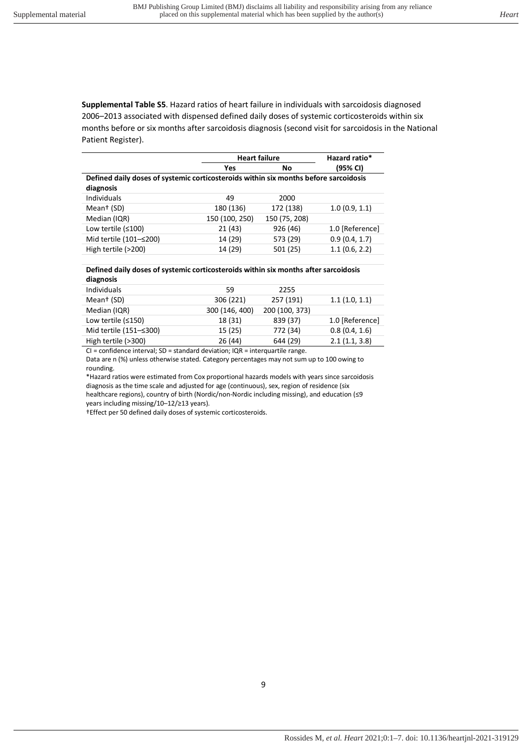<span id="page-8-0"></span>**Supplemental Table S5**. Hazard ratios of heart failure in individuals with sarcoidosis diagnosed 2006–2013 associated with dispensed defined daily doses of systemic corticosteroids within six months before or six months after sarcoidosis diagnosis (second visit for sarcoidosis in the National Patient Register).

|                                                                                      | <b>Heart failure</b> |               | Hazard ratio*   |
|--------------------------------------------------------------------------------------|----------------------|---------------|-----------------|
|                                                                                      | Yes                  | No            | (95% CI)        |
| Defined daily doses of systemic corticosteroids within six months before sarcoidosis |                      |               |                 |
| diagnosis                                                                            |                      |               |                 |
| Individuals                                                                          | 49                   | 2000          |                 |
| Mean <sup>+</sup> (SD)                                                               | 180 (136)            | 172 (138)     | 1.0(0.9, 1.1)   |
| Median (IQR)                                                                         | 150 (100, 250)       | 150 (75, 208) |                 |
| Low tertile $(≤100)$                                                                 | 21(43)               | 926 (46)      | 1.0 [Reference] |
| Mid tertile (101-≤200)                                                               | 14 (29)              | 573 (29)      | 0.9(0.4, 1.7)   |
| High tertile (>200)                                                                  | 14 (29)              | 501 (25)      | 1.1(0.6, 2.2)   |

#### **Defined daily doses of systemic corticosteroids within six months after sarcoidosis diagnosis**

| <b>Individuals</b>     | 59             | 2255           |                 |
|------------------------|----------------|----------------|-----------------|
| Mean <sup>+</sup> (SD) | 306 (221)      | 257 (191)      | 1.1(1.0, 1.1)   |
| Median (IQR)           | 300 (146, 400) | 200 (100, 373) |                 |
| Low tertile $(≤150)$   | 18 (31)        | 839 (37)       | 1.0 [Reference] |
| Mid tertile (151–≤300) | 15 (25)        | 772 (34)       | 0.8(0.4, 1.6)   |
| High tertile (>300)    | 26 (44)        | 644 (29)       | 2.1(1.1, 3.8)   |
|                        |                |                |                 |

CI = confidence interval; SD = standard deviation; IQR = interquartile range. Data are n (%) unless otherwise stated. Category percentages may not sum up to 100 owing to rounding.

\*Hazard ratios were estimated from Cox proportional hazards models with years since sarcoidosis diagnosis as the time scale and adjusted for age (continuous), sex, region of residence (six healthcare regions), country of birth (Nordic/non-Nordic including missing), and education (≤9 years including missing/10–12/≥13 years).

†Effect per 50 defined daily doses of systemic corticosteroids.